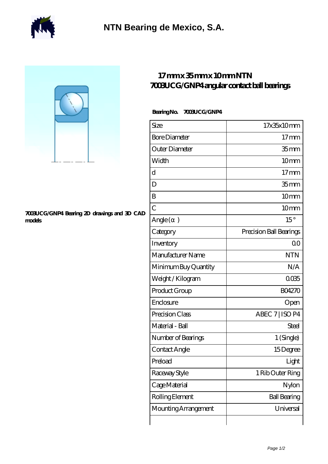



## **[7003UCG/GNP4 Bearing 2D drawings and 3D CAD](https://m.berliner-freunde.org/pic-391308.html) [models](https://m.berliner-freunde.org/pic-391308.html)**

## **[17 mm x 35 mm x 10 mm NTN](https://m.berliner-freunde.org/by-391308-ntn-7003ucg-gnp4-angular-contact-ball-bearings.html) [7003UCG/GNP4 angular contact ball bearings](https://m.berliner-freunde.org/by-391308-ntn-7003ucg-gnp4-angular-contact-ball-bearings.html)**

## **Bearing No. 7003UCG/GNP4**

| Size                 | 17x35x10mm              |
|----------------------|-------------------------|
| <b>Bore Diameter</b> | $17 \text{mm}$          |
| Outer Diameter       | 35 <sub>mm</sub>        |
| Width                | 10mm                    |
| d                    | $17$ mm                 |
| D                    | 35 <sub>mm</sub>        |
| B                    | 10 <sub>mm</sub>        |
| $\overline{C}$       | 10 <sub>mm</sub>        |
| Angle (<br>$\big)$   | $15^{\circ}$            |
| Category             | Precision Ball Bearings |
| Inventory            | 0 <sup>0</sup>          |
| Manufacturer Name    | <b>NTN</b>              |
| Minimum Buy Quantity | N/A                     |
| Weight / Kilogram    | 0035                    |
| Product Group        | <b>BO4270</b>           |
| Enclosure            | Open                    |
| Precision Class      | ABEC 7   ISO P4         |
| Material - Ball      | Steel                   |
| Number of Bearings   | 1 (Single)              |
| Contact Angle        | 15Degree                |
| Preload              | Light                   |
| Raceway Style        | 1 Rib Outer Ring        |
| Cage Material        | Nylon                   |
| Rolling Element      | <b>Ball Bearing</b>     |
| Mounting Arrangement | Universal               |
|                      |                         |